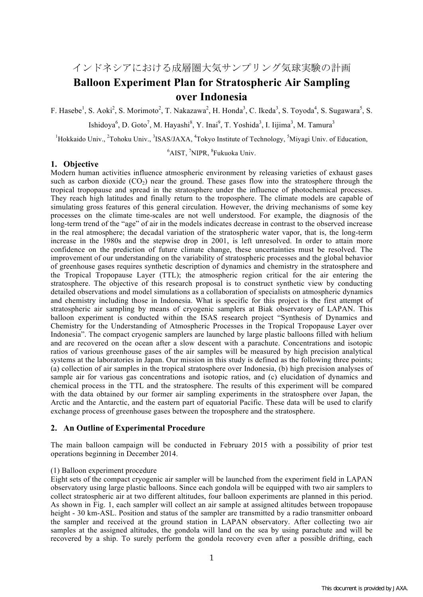インドネシアにおける成層圏大気サンプリング気球実験の計画

# **Balloon Experiment Plan for Stratospheric Air Sampling over Indonesia**

F. Hasebe<sup>1</sup>, S. Aoki<sup>2</sup>, S. Morimoto<sup>2</sup>, T. Nakazawa<sup>2</sup>, H. Honda<sup>3</sup>, C. Ikeda<sup>3</sup>, S. Toyoda<sup>4</sup>, S. Sugawara<sup>5</sup>, S.

Ishidoya<sup>6</sup>, D. Goto<sup>7</sup>, M. Hayashi<sup>8</sup>, Y. Inai<sup>9</sup>, T. Yoshida<sup>3</sup>, I. Iijima<sup>3</sup>, M. Tamura<sup>3</sup>

<sup>1</sup>Hokkaido Univ., <sup>2</sup>Tohoku Univ., <sup>3</sup>ISAS/JAXA, <sup>4</sup>Tokyo Institute of Technology, <sup>5</sup>Miyagi Univ. of Education,

<sup>6</sup>AIST, <sup>7</sup>NIPR, <sup>8</sup>Fukuoka Univ.

## **1. Objective**

Modern human activities influence atmospheric environment by releasing varieties of exhaust gases such as carbon dioxide  $(CO_2)$  near the ground. These gases flow into the stratosphere through the tropical tropopause and spread in the stratosphere under the influence of photochemical processes. They reach high latitudes and finally return to the troposphere. The climate models are capable of simulating gross features of this general circulation. However, the driving mechanisms of some key processes on the climate time-scales are not well understood. For example, the diagnosis of the long-term trend of the "age" of air in the models indicates decrease in contrast to the observed increase in the real atmosphere; the decadal variation of the stratospheric water vapor, that is, the long-term increase in the 1980s and the stepwise drop in 2001, is left unresolved. In order to attain more confidence on the prediction of future climate change, these uncertainties must be resolved. The improvement of our understanding on the variability of stratospheric processes and the global behavior of greenhouse gases requires synthetic description of dynamics and chemistry in the stratosphere and the Tropical Tropopause Layer (TTL); the atmospheric region critical for the air entering the stratosphere. The objective of this research proposal is to construct synthetic view by conducting detailed observations and model simulations as a collaboration of specialists on atmospheric dynamics and chemistry including those in Indonesia. What is specific for this project is the first attempt of stratospheric air sampling by means of cryogenic samplers at Biak observatory of LAPAN. This balloon experiment is conducted within the ISAS research project "Synthesis of Dynamics and Chemistry for the Understanding of Atmospheric Processes in the Tropical Tropopause Layer over Indonesia". The compact cryogenic samplers are launched by large plastic balloons filled with helium and are recovered on the ocean after a slow descent with a parachute. Concentrations and isotopic ratios of various greenhouse gases of the air samples will be measured by high precision analytical systems at the laboratories in Japan. Our mission in this study is defined as the following three points; (a) collection of air samples in the tropical stratosphere over Indonesia, (b) high precision analyses of sample air for various gas concentrations and isotopic ratios, and (c) elucidation of dynamics and chemical process in the TTL and the stratosphere. The results of this experiment will be compared with the data obtained by our former air sampling experiments in the stratosphere over Japan, the Arctic and the Antarctic, and the eastern part of equatorial Pacific. These data will be used to clarify exchange process of greenhouse gases between the troposphere and the stratosphere.

# **2. An Outline of Experimental Procedure**

The main balloon campaign will be conducted in February 2015 with a possibility of prior test operations beginning in December 2014.

#### (1) Balloon experiment procedure

Eight sets of the compact cryogenic air sampler will be launched from the experiment field in LAPAN observatory using large plastic balloons. Since each gondola will be equipped with two air samplers to collect stratospheric air at two different altitudes, four balloon experiments are planned in this period. As shown in Fig. 1, each sampler will collect an air sample at assigned altitudes between tropopause height - 30 km-ASL. Position and status of the sampler are transmitted by a radio transmitter onboard the sampler and received at the ground station in LAPAN observatory. After collecting two air samples at the assigned altitudes, the gondola will land on the sea by using parachute and will be recovered by a ship. To surely perform the gondola recovery even after a possible drifting, each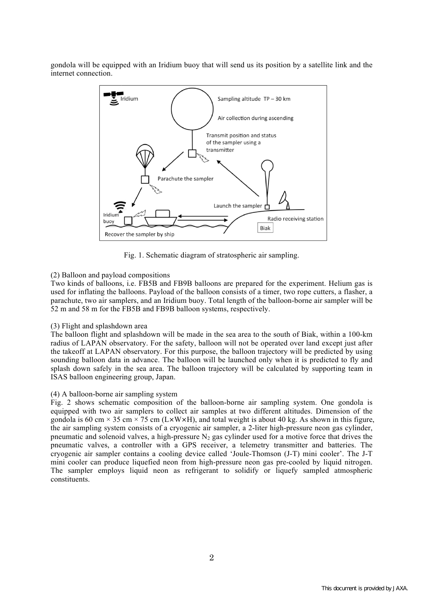gondola will be equipped with an Iridium buoy that will send us its position by a satellite link and the internet connection.



Fig. 1. Schematic diagram of stratospheric air sampling.

## (2) Balloon and payload compositions

Two kinds of balloons, i.e. FB5B and FB9B balloons are prepared for the experiment. Helium gas is used for inflating the balloons. Payload of the balloon consists of a timer, two rope cutters, a flasher, a parachute, two air samplers, and an Iridium buoy. Total length of the balloon-borne air sampler will be 52 m and 58 m for the FB5B and FB9B balloon systems, respectively.

### (3) Flight and splashdown area

The balloon flight and splashdown will be made in the sea area to the south of Biak, within a 100-km radius of LAPAN observatory. For the safety, balloon will not be operated over land except just after the takeoff at LAPAN observatory. For this purpose, the balloon trajectory will be predicted by using sounding balloon data in advance. The balloon will be launched only when it is predicted to fly and splash down safely in the sea area. The balloon trajectory will be calculated by supporting team in ISAS balloon engineering group, Japan.

### (4) A balloon-borne air sampling system

Fig. 2 shows schematic composition of the balloon-borne air sampling system. One gondola is equipped with two air samplers to collect air samples at two different altitudes. Dimension of the gondola is 60 cm  $\times$  35 cm  $\times$  75 cm (L $\times$ W $\times$ H), and total weight is about 40 kg. As shown in this figure, the air sampling system consists of a cryogenic air sampler, a 2-liter high-pressure neon gas cylinder, pneumatic and solenoid valves, a high-pressure  $N_2$  gas cylinder used for a motive force that drives the pneumatic valves, a controller with a GPS receiver, a telemetry transmitter and batteries. The cryogenic air sampler contains a cooling device called 'Joule-Thomson (J-T) mini cooler'. The J-T mini cooler can produce liquefied neon from high-pressure neon gas pre-cooled by liquid nitrogen. The sampler employs liquid neon as refrigerant to solidify or liquefy sampled atmospheric constituents.